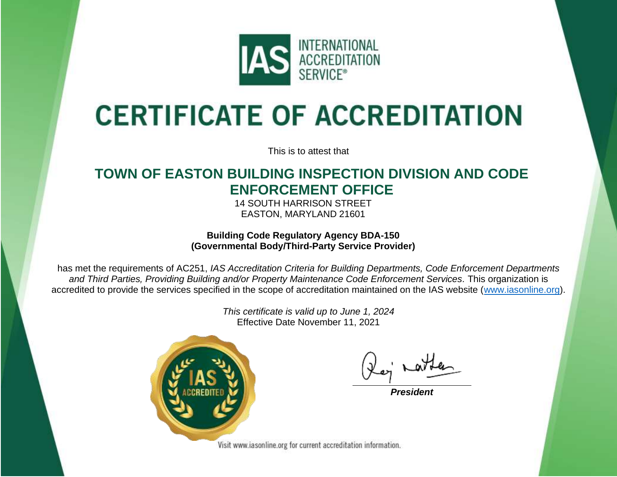

# **CERTIFICATE OF ACCREDITATION**

This is to attest that

## **TOWN OF EASTON BUILDING INSPECTION DIVISION AND CODE ENFORCEMENT OFFICE**

14 SOUTH HARRISON STREET EASTON, MARYLAND 21601

### **Building Code Regulatory Agency BDA-150 (Governmental Body/Third-Party Service Provider)**

has met the requirements of AC251, *IAS Accreditation Criteria for Building Departments, Code Enforcement Departments and Third Parties, Providing Building and/or Property Maintenance Code Enforcement Services.* This organization is accredited to provide the services specified in the scope of accreditation maintained on the IAS website [\(www.iasonline.org\)](http://www.iasonline.org/).

> *This certificate is valid up to June 1, 2024* Effective Date November 11, 2021



*President*

Visit www.iasonline.org for current accreditation information.